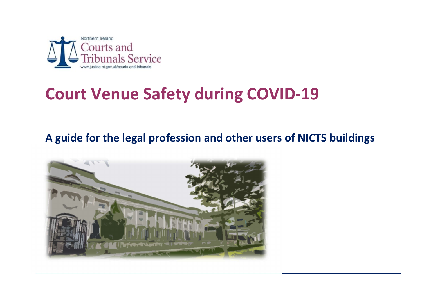

## Court Venue Safety during COVID-19

## A guide for the legal profession and other users of NICTS buildings

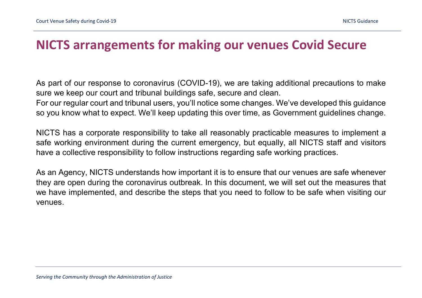## NICTS arrangements for making our venues Covid Secure

As part of our response to coronavirus (COVID-19), we are taking additional precautions to make sure we keep our court and tribunal buildings safe, secure and clean.

For our regular court and tribunal users, you'll notice some changes. We've developed this guidance so you know what to expect. We'll keep updating this over time, as Government guidelines change.

NICTS has a corporate responsibility to take all reasonably practicable measures to implement a safe working environment during the current emergency, but equally, all NICTS staff and visitors have a collective responsibility to follow instructions regarding safe working practices.

As an Agency, NICTS understands how important it is to ensure that our venues are safe whenever they are open during the coronavirus outbreak. In this document, we will set out the measures that we have implemented, and describe the steps that you need to follow to be safe when visiting our venues.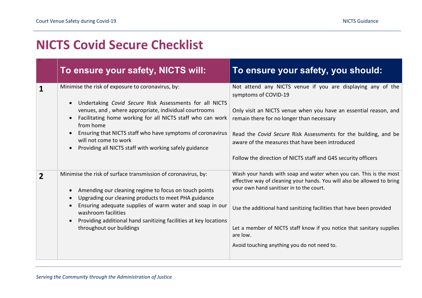## NICTS Covid Secure Checklist

|                | To ensure your safety, NICTS will:                                                                                                                                                                                                                                                                                                                                                                | To ensure your safety, you should:                                                                                                                                                                                                                                                                                                                                                                     |
|----------------|---------------------------------------------------------------------------------------------------------------------------------------------------------------------------------------------------------------------------------------------------------------------------------------------------------------------------------------------------------------------------------------------------|--------------------------------------------------------------------------------------------------------------------------------------------------------------------------------------------------------------------------------------------------------------------------------------------------------------------------------------------------------------------------------------------------------|
| 1              | Minimise the risk of exposure to coronavirus, by:<br>Undertaking Covid Secure Risk Assessments for all NICTS<br>venues, and, where appropriate, individual courtrooms<br>Facilitating home working for all NICTS staff who can work<br>from home<br>Ensuring that NICTS staff who have symptoms of coronavirus<br>will not come to work<br>Providing all NICTS staff with working safely guidance | Not attend any NICTS venue if you are displaying any of the<br>symptoms of COVID-19<br>Only visit an NICTS venue when you have an essential reason, and<br>remain there for no longer than necessary<br>Read the Covid Secure Risk Assessments for the building, and be<br>aware of the measures that have been introduced<br>Follow the direction of NICTS staff and G4S security officers            |
| $\overline{2}$ | Minimise the risk of surface transmission of coronavirus, by:<br>Amending our cleaning regime to focus on touch points<br>Upgrading our cleaning products to meet PHA guidance<br>Ensuring adequate supplies of warm water and soap in our<br>washroom facilities<br>Providing additional hand sanitizing facilities at key locations<br>throughout our buildings                                 | Wash your hands with soap and water when you can. This is the most<br>effective way of cleaning your hands. You will also be allowed to bring<br>your own hand sanitiser in to the court.<br>Use the additional hand sanitizing facilities that have been provided<br>Let a member of NICTS staff know if you notice that sanitary supplies<br>are low.<br>Avoid touching anything you do not need to. |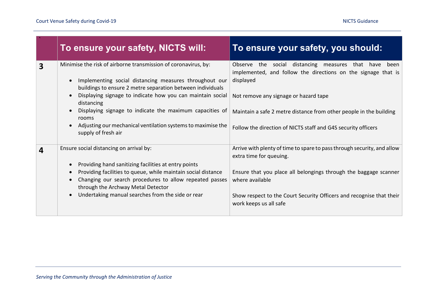|                         | To ensure your safety, NICTS will:                                                                                                                                                                                                                                                                                                                                                                                             | To ensure your safety, you should:                                                                                                                                                                                                                                                                                     |
|-------------------------|--------------------------------------------------------------------------------------------------------------------------------------------------------------------------------------------------------------------------------------------------------------------------------------------------------------------------------------------------------------------------------------------------------------------------------|------------------------------------------------------------------------------------------------------------------------------------------------------------------------------------------------------------------------------------------------------------------------------------------------------------------------|
| 3                       | Minimise the risk of airborne transmission of coronavirus, by:<br>Implementing social distancing measures throughout our<br>buildings to ensure 2 metre separation between individuals<br>Displaying signage to indicate how you can maintain social<br>distancing<br>Displaying signage to indicate the maximum capacities of<br>rooms<br>Adjusting our mechanical ventilation systems to maximise the<br>supply of fresh air | Observe the social distancing measures that have<br>been<br>implemented, and follow the directions on the signage that is<br>displayed<br>Not remove any signage or hazard tape<br>Maintain a safe 2 metre distance from other people in the building<br>Follow the direction of NICTS staff and G4S security officers |
| $\overline{\mathbf{4}}$ | Ensure social distancing on arrival by:<br>Providing hand sanitizing facilities at entry points<br>Providing facilities to queue, while maintain social distance<br>Changing our search procedures to allow repeated passes<br>through the Archway Metal Detector<br>Undertaking manual searches from the side or rear                                                                                                         | Arrive with plenty of time to spare to pass through security, and allow<br>extra time for queuing.<br>Ensure that you place all belongings through the baggage scanner<br>where available<br>Show respect to the Court Security Officers and recognise that their<br>work keeps us all safe                            |

,我们也不会有什么。""我们的人,我们也不会有什么?""我们的人,我们也不会有什么?""我们的人,我们的人,我们的人,我们的人,我们的人,我们的人,我们的人,我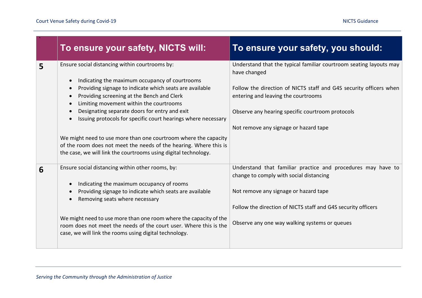|   | To ensure your safety, NICTS will:                                                                                                                                                                                                                                                                                                                                                                                                                                                                                                                                                             | To ensure your safety, you should:                                                                                                                                                                                                                                                           |
|---|------------------------------------------------------------------------------------------------------------------------------------------------------------------------------------------------------------------------------------------------------------------------------------------------------------------------------------------------------------------------------------------------------------------------------------------------------------------------------------------------------------------------------------------------------------------------------------------------|----------------------------------------------------------------------------------------------------------------------------------------------------------------------------------------------------------------------------------------------------------------------------------------------|
| 5 | Ensure social distancing within courtrooms by:<br>Indicating the maximum occupancy of courtrooms<br>Providing signage to indicate which seats are available<br>Providing screening at the Bench and Clerk<br>$\bullet$<br>Limiting movement within the courtrooms<br>Designating separate doors for entry and exit<br>Issuing protocols for specific court hearings where necessary<br>We might need to use more than one courtroom where the capacity<br>of the room does not meet the needs of the hearing. Where this is<br>the case, we will link the courtrooms using digital technology. | Understand that the typical familiar courtroom seating layouts may<br>have changed<br>Follow the direction of NICTS staff and G4S security officers when<br>entering and leaving the courtrooms<br>Observe any hearing specific courtroom protocols<br>Not remove any signage or hazard tape |
| 6 | Ensure social distancing within other rooms, by:<br>Indicating the maximum occupancy of rooms<br>$\bullet$<br>Providing signage to indicate which seats are available<br>Removing seats where necessary<br>We might need to use more than one room where the capacity of the<br>room does not meet the needs of the court user. Where this is the<br>case, we will link the rooms using digital technology.                                                                                                                                                                                    | Understand that familiar practice and procedures may have to<br>change to comply with social distancing<br>Not remove any signage or hazard tape<br>Follow the direction of NICTS staff and G4S security officers<br>Observe any one way walking systems or queues                           |

and the control of the control of the control of the control of the control of the control of the control of the